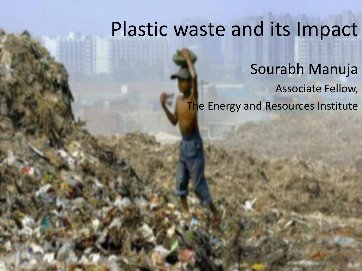### Plastic waste and its Impact

Sourabh Manuja Associate Fellow, The Energy and Resources Institute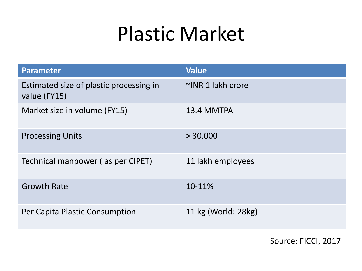## Plastic Market

| <b>Parameter</b>                                        | <b>Value</b>            |
|---------------------------------------------------------|-------------------------|
| Estimated size of plastic processing in<br>value (FY15) | $\sim$ INR 1 lakh crore |
| Market size in volume (FY15)                            | 13.4 MMTPA              |
| <b>Processing Units</b>                                 | > 30,000                |
| Technical manpower (as per CIPET)                       | 11 lakh employees       |
| <b>Growth Rate</b>                                      | 10-11%                  |
| Per Capita Plastic Consumption                          | 11 kg (World: 28kg)     |

Source: FICCI, 2017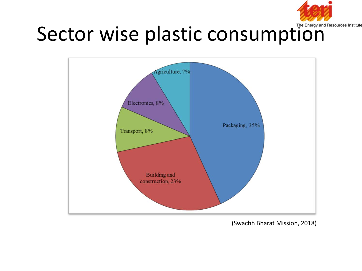

# Sector wise plastic consumption



(Swachh Bharat Mission, 2018)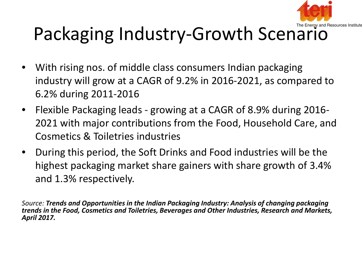

# Packaging Industry-Growth Scenario

- With rising nos. of middle class consumers Indian packaging industry will grow at a CAGR of 9.2% in 2016-2021, as compared to 6.2% during 2011-2016
- Flexible Packaging leads growing at a CAGR of 8.9% during 2016- 2021 with major contributions from the Food, Household Care, and Cosmetics & Toiletries industries
- During this period, the Soft Drinks and Food industries will be the highest packaging market share gainers with share growth of 3.4% and 1.3% respectively.

*Source: Trends and Opportunities in the Indian Packaging Industry: Analysis of changing packaging trends in the Food, Cosmetics and Toiletries, Beverages and Other Industries, Research and Markets, April 2017.*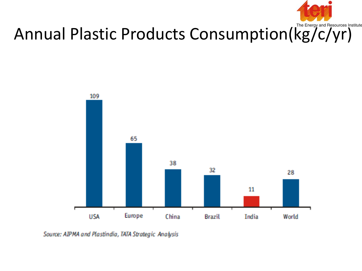



Source: AIPMA and Plastindia, TATA Strategic Analysis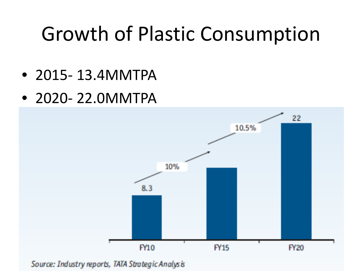## Growth of Plastic Consumption

- 2015- 13.4MMTPA
- 2020- 22.0MMTPA



Source: Industry reports, TATA Strategic Analysis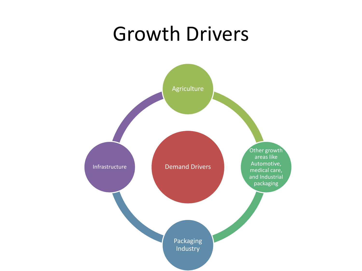### Growth Drivers

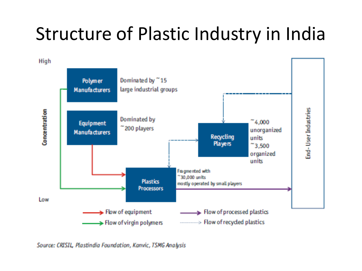#### Structure of Plastic Industry in India

High Dominated by ~15 Polymer large industrial groups **Manufacturers** ind-UserIndustries Concentration Dominated by  $~14,000$ Equipment  $~\tilde{}$  200 players unorganized **Manufacturers** Recycling units **Players**  $^{\sim}$ 3.500 organized **units** Frameented with "30,000 units **Plastics** mostly operated by small players **Processors Low**  $\blacktriangleright$  Flow of equipment Flow of processed plastics  $\Rightarrow$  Flow of recycled plastics > Flow of virgin polymers

Source: CRISIL, Plastindia Foundation, Kanvic, TSMG Analysis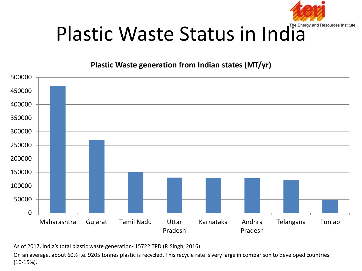

# Plastic Waste Status in India

**Plastic Waste generation from Indian states (MT/yr)**



As of 2017, India's total plastic waste generation- 15722 TPD (P. Singh, 2016)

On an average, about 60% i.e. 9205 tonnes plastic is recycled. This recycle rate is very large in comparison to developed countries (10-15%).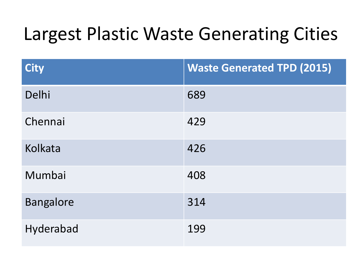#### Largest Plastic Waste Generating Cities

| <b>City</b>      | <b>Waste Generated TPD (2015)</b> |
|------------------|-----------------------------------|
| Delhi            | 689                               |
| Chennai          | 429                               |
| Kolkata          | 426                               |
| Mumbai           | 408                               |
| <b>Bangalore</b> | 314                               |
| Hyderabad        | 199                               |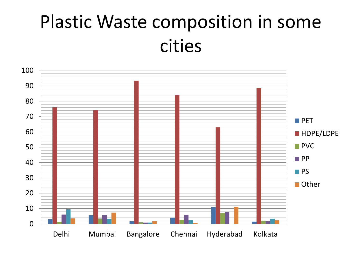#### Plastic Waste composition in some cities

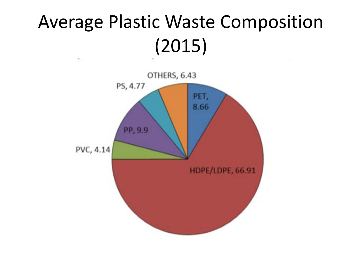### Average Plastic Waste Composition (2015)

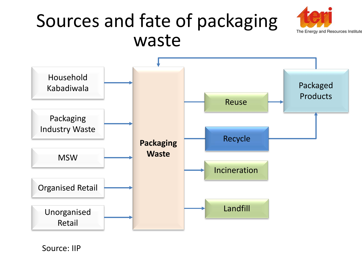#### Sources and fate of packaging waste



The Energy and Resources Institute

Source: IIP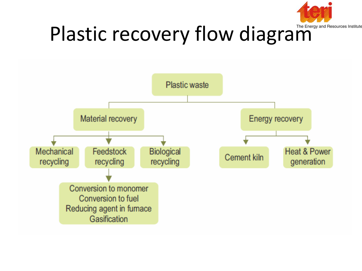

# Plastic recovery flow diagram

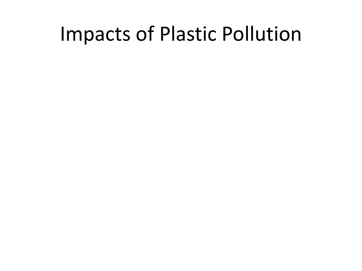#### Impacts of Plastic Pollution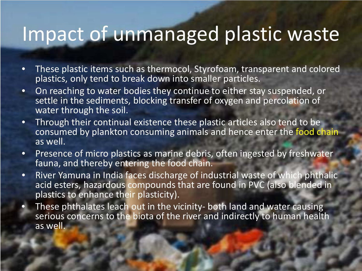#### Impact of unmanaged plastic waste

- These plastic items such as thermocol, Styrofoam, transparent and colored plastics, only tend to break down into smaller particles.
- On reaching to water bodies they continue to either stay suspended, or settle in the sediments, blocking transfer of oxygen and percolation of water through the soil.
- Through their continual existence these plastic articles also tend to be consumed by plankton consuming animals and hence enter the food chain as well.
- Presence of micro plastics as marine debris, often ingested by freshwater fauna, and thereby entering the food chain.
- River Yamuna in India faces discharge of industrial waste of which phthalic acid esters, hazardous compounds that are found in PVC (also blended in plastics to enhance their plasticity).
- These phthalates leach out in the vicinity- both land and water causing serious concerns to the biota of the river and indirectly to human health as well.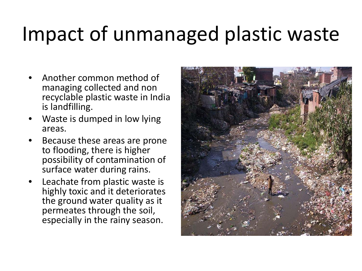# Impact of unmanaged plastic waste

- Another common method of managing collected and non recyclable plastic waste in India is landfilling.
- Waste is dumped in low lying areas.
- Because these areas are prone to flooding, there is higher possibility of contamination of surface water during rains.
- Leachate from plastic waste is highly toxic and it deteriorates the ground water quality as it permeates through the soil, especially in the rainy season.

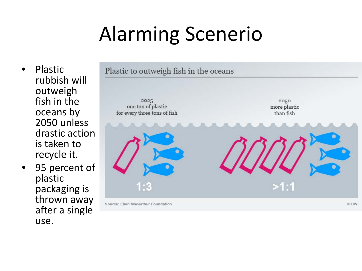# Alarming Scenerio

- Plastic rubbish will outweigh fish in the oceans by 2050 unless drastic action is taken to recycle it.
- 95 percent of plastic packaging is thrown away after a single use.

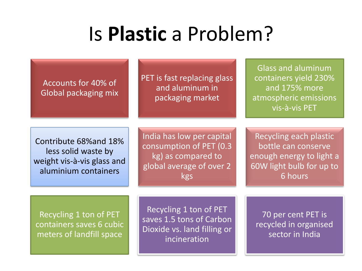#### Is **Plastic** a Problem?

Accounts for 40% of Global packaging mix PET is fast replacing glass and aluminum in packaging market

Glass and aluminum containers yield 230% and 175% more atmospheric emissions vis-à-vis PET

Contribute 68%and 18% less solid waste by weight vis-à-vis glass and aluminium containers

India has low per capital consumption of PET (0.3 kg) as compared to global average of over 2 kgs

Recycling each plastic bottle can conserve enough energy to light a 60W light bulb for up to 6 hours

Recycling 1 ton of PET containers saves 6 cubic meters of landfill space

Recycling 1 ton of PET saves 1.5 tons of Carbon Dioxide vs. land filling or incineration

70 per cent PET is recycled in organised sector in India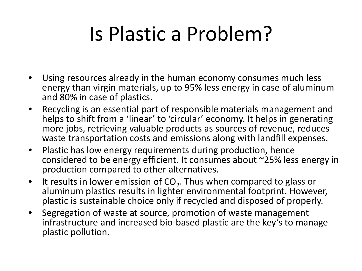# Is Plastic a Problem?

- Using resources already in the human economy consumes much less energy than virgin materials, up to 95% less energy in case of aluminum and 80% in case of plastics.
- Recycling is an essential part of responsible materials management and helps to shift from a 'linear' to 'circular' economy. It helps in generating more jobs, retrieving valuable products as sources of revenue, reduces waste transportation costs and emissions along with landfill expenses.
- Plastic has low energy requirements during production, hence considered to be energy efficient. It consumes about ~25% less energy in production compared to other alternatives.
- It results in lower emission of  $CO<sub>2</sub>$ . Thus when compared to glass or aluminum plastics results in lighter environmental footprint. However, plastic is sustainable choice only if recycled and disposed of properly.
- Segregation of waste at source, promotion of waste management infrastructure and increased bio-based plastic are the key's to manage plastic pollution.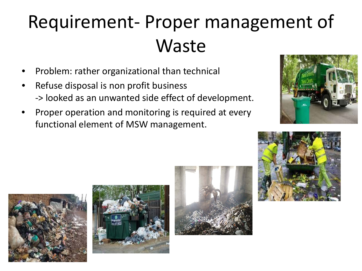### Requirement- Proper management of Waste

- Problem: rather organizational than technical
- Refuse disposal is non profit business -> looked as an unwanted side effect of development.
- Proper operation and monitoring is required at every functional element of MSW management.









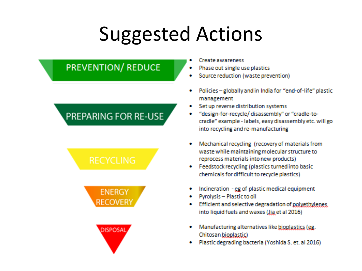# Suggested Actions



Plastic degrading bacteria (Yoshida S. et. al 2016)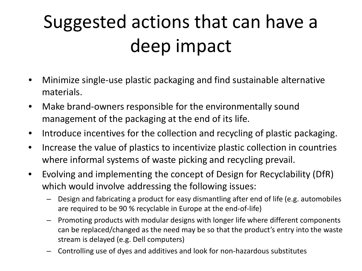# Suggested actions that can have a deep impact

- Minimize single-use plastic packaging and find sustainable alternative materials.
- Make brand-owners responsible for the environmentally sound management of the packaging at the end of its life.
- Introduce incentives for the collection and recycling of plastic packaging.
- Increase the value of plastics to incentivize plastic collection in countries where informal systems of waste picking and recycling prevail.
- Evolving and implementing the concept of Design for Recyclability (DfR) which would involve addressing the following issues:
	- Design and fabricating a product for easy dismantling after end of life (e.g. automobiles are required to be 90 % recyclable in Europe at the end-of-life)
	- Promoting products with modular designs with longer life where different components can be replaced/changed as the need may be so that the product's entry into the waste stream is delayed (e.g. Dell computers)
	- Controlling use of dyes and additives and look for non-hazardous substitutes